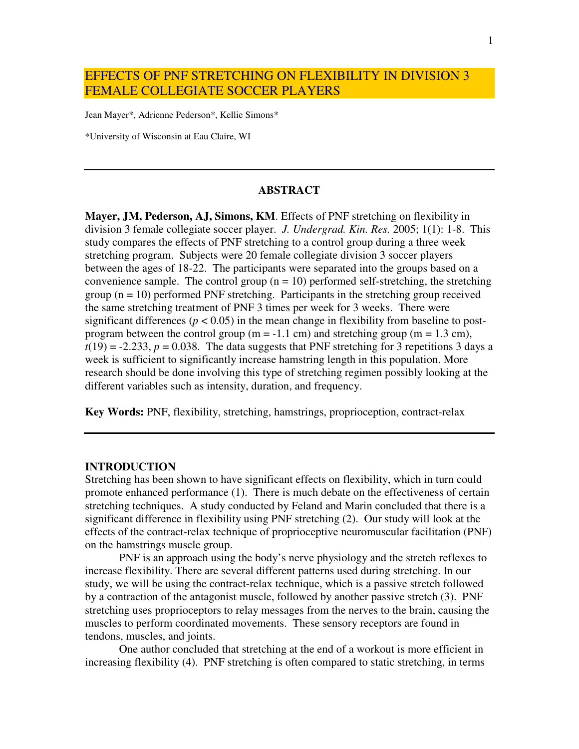# EFFECTS OF PNF STRETCHING ON FLEXIBILITY IN DIVISION 3 FEMALE COLLEGIATE SOCCER PLAYERS

Jean Mayer\*, Adrienne Pederson\*, Kellie Simons\*

\*University of Wisconsin at Eau Claire, WI

### **ABSTRACT**

**Mayer, JM, Pederson, AJ, Simons, KM**. Effects of PNF stretching on flexibility in division 3 female collegiate soccer player. *J. Undergrad. Kin. Res.* 2005; 1(1): 1-8. This study compares the effects of PNF stretching to a control group during a three week stretching program. Subjects were 20 female collegiate division 3 soccer players between the ages of 18-22. The participants were separated into the groups based on a convenience sample. The control group  $(n = 10)$  performed self-stretching, the stretching group  $(n = 10)$  performed PNF stretching. Participants in the stretching group received the same stretching treatment of PNF 3 times per week for 3 weeks. There were significant differences ( $p < 0.05$ ) in the mean change in flexibility from baseline to postprogram between the control group ( $m = -1.1$  cm) and stretching group ( $m = 1.3$  cm),  $t(19) = -2.233$ ,  $p = 0.038$ . The data suggests that PNF stretching for 3 repetitions 3 days a week is sufficient to significantly increase hamstring length in this population. More research should be done involving this type of stretching regimen possibly looking at the different variables such as intensity, duration, and frequency.

**Key Words:** PNF, flexibility, stretching, hamstrings, proprioception, contract-relax

#### **INTRODUCTION**

Stretching has been shown to have significant effects on flexibility, which in turn could promote enhanced performance (1). There is much debate on the effectiveness of certain stretching techniques. A study conducted by Feland and Marin concluded that there is a significant difference in flexibility using PNF stretching (2). Our study will look at the effects of the contract-relax technique of proprioceptive neuromuscular facilitation (PNF) on the hamstrings muscle group.

PNF is an approach using the body's nerve physiology and the stretch reflexes to increase flexibility. There are several different patterns used during stretching. In our study, we will be using the contract-relax technique, which is a passive stretch followed by a contraction of the antagonist muscle, followed by another passive stretch (3). PNF stretching uses proprioceptors to relay messages from the nerves to the brain, causing the muscles to perform coordinated movements. These sensory receptors are found in tendons, muscles, and joints.

One author concluded that stretching at the end of a workout is more efficient in increasing flexibility (4). PNF stretching is often compared to static stretching, in terms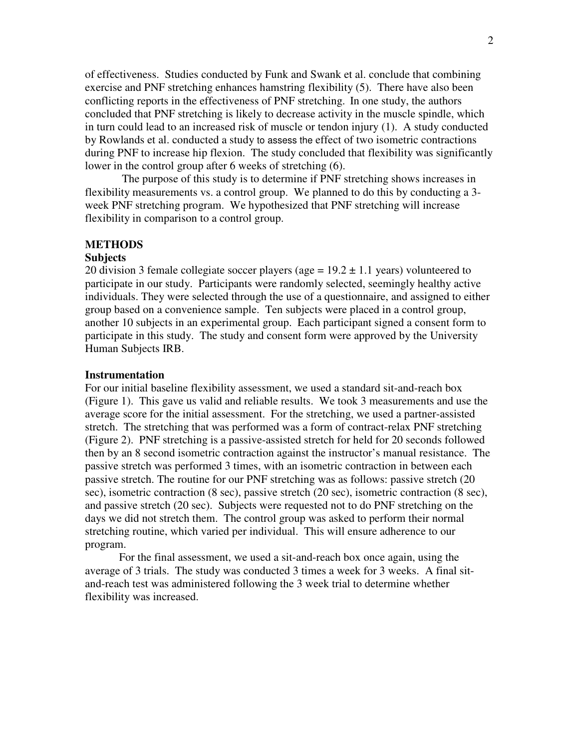of effectiveness. Studies conducted by Funk and Swank et al. conclude that combining exercise and PNF stretching enhances hamstring flexibility (5). There have also been conflicting reports in the effectiveness of PNF stretching. In one study, the authors concluded that PNF stretching is likely to decrease activity in the muscle spindle, which in turn could lead to an increased risk of muscle or tendon injury (1). A study conducted by Rowlands et al. conducted a study to assess the effect of two isometric contractions during PNF to increase hip flexion. The study concluded that flexibility was significantly lower in the control group after 6 weeks of stretching (6).

The purpose of this study is to determine if PNF stretching shows increases in flexibility measurements vs. a control group. We planned to do this by conducting a 3 week PNF stretching program. We hypothesized that PNF stretching will increase flexibility in comparison to a control group.

## **METHODS**

#### **Subjects**

20 division 3 female collegiate soccer players (age =  $19.2 \pm 1.1$  years) volunteered to participate in our study. Participants were randomly selected, seemingly healthy active individuals. They were selected through the use of a questionnaire, and assigned to either group based on a convenience sample. Ten subjects were placed in a control group, another 10 subjects in an experimental group. Each participant signed a consent form to participate in this study. The study and consent form were approved by the University Human Subjects IRB.

### **Instrumentation**

For our initial baseline flexibility assessment, we used a standard sit-and-reach box (Figure 1). This gave us valid and reliable results. We took 3 measurements and use the average score for the initial assessment. For the stretching, we used a partner-assisted stretch. The stretching that was performed was a form of contract-relax PNF stretching (Figure 2). PNF stretching is a passive-assisted stretch for held for 20 seconds followed then by an 8 second isometric contraction against the instructor's manual resistance. The passive stretch was performed 3 times, with an isometric contraction in between each passive stretch. The routine for our PNF stretching was as follows: passive stretch (20 sec), isometric contraction (8 sec), passive stretch (20 sec), isometric contraction (8 sec), and passive stretch (20 sec). Subjects were requested not to do PNF stretching on the days we did not stretch them. The control group was asked to perform their normal stretching routine, which varied per individual. This will ensure adherence to our program.

For the final assessment, we used a sit-and-reach box once again, using the average of 3 trials. The study was conducted 3 times a week for 3 weeks. A final sitand-reach test was administered following the 3 week trial to determine whether flexibility was increased.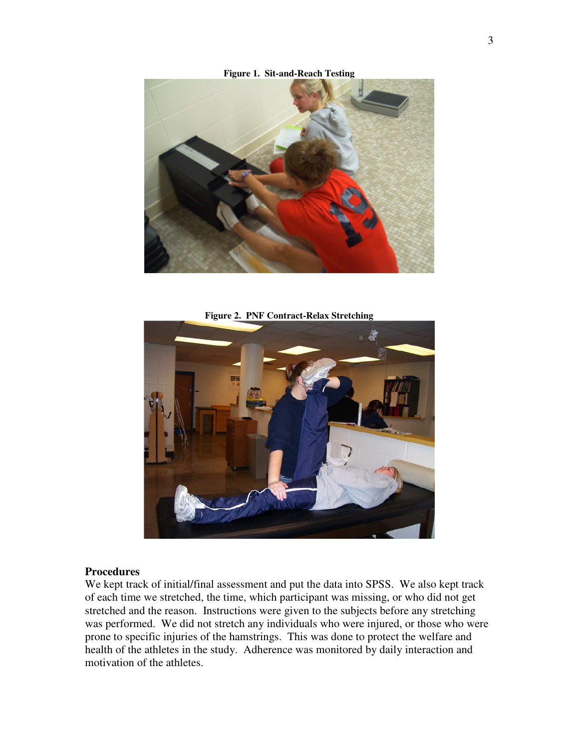

**Figure 1. Sit-and-Reach Testing**

**Figure 2. PNF Contract-Relax Stretching**



### **Procedures**

We kept track of initial/final assessment and put the data into SPSS. We also kept track of each time we stretched, the time, which participant was missing, or who did not get stretched and the reason. Instructions were given to the subjects before any stretching was performed. We did not stretch any individuals who were injured, or those who were prone to specific injuries of the hamstrings. This was done to protect the welfare and health of the athletes in the study. Adherence was monitored by daily interaction and motivation of the athletes.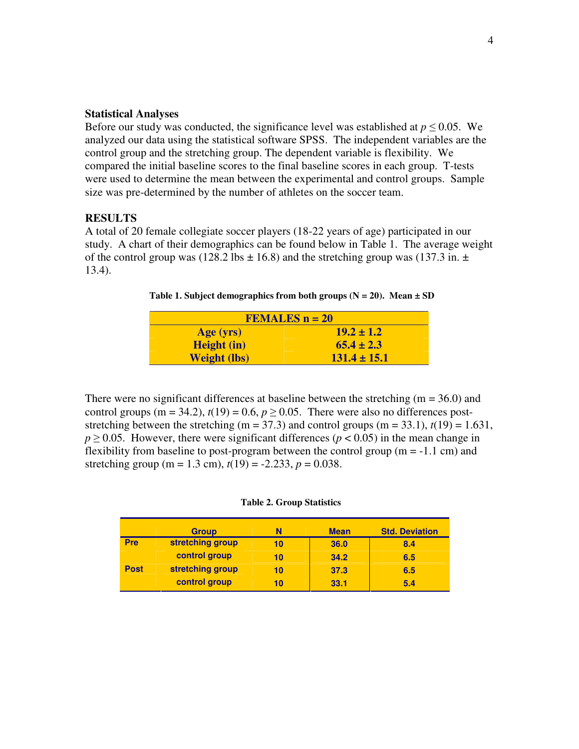## **Statistical Analyses**

Before our study was conducted, the significance level was established at  $p \leq 0.05$ . We analyzed our data using the statistical software SPSS. The independent variables are the control group and the stretching group. The dependent variable is flexibility. We compared the initial baseline scores to the final baseline scores in each group. T-tests were used to determine the mean between the experimental and control groups. Sample size was pre-determined by the number of athletes on the soccer team.

## **RESULTS**

A total of 20 female collegiate soccer players (18-22 years of age) participated in our study. A chart of their demographics can be found below in Table 1. The average weight of the control group was (128.2 lbs  $\pm$  16.8) and the stretching group was (137.3 in.  $\pm$ 13.4).

**Table 1.** Subject demographics from both groups  $(N = 20)$ . Mean  $\pm$  SD

| <b>FEMALES <math>n = 20</math></b> |                  |  |  |  |
|------------------------------------|------------------|--|--|--|
| Age (yrs)                          | $19.2 \pm 1.2$   |  |  |  |
| <b>Height</b> (in)                 | $65.4 \pm 2.3$   |  |  |  |
| <b>Weight (lbs)</b>                | $131.4 \pm 15.1$ |  |  |  |

There were no significant differences at baseline between the stretching  $(m = 36.0)$  and control groups (m = 34.2),  $t(19) = 0.6$ ,  $p \ge 0.05$ . There were also no differences poststretching between the stretching (m = 37.3) and control groups (m = 33.1),  $t(19) = 1.631$ ,  $p \ge 0.05$ . However, there were significant differences ( $p < 0.05$ ) in the mean change in flexibility from baseline to post-program between the control group ( $m = -1.1$  cm) and stretching group (m = 1.3 cm),  $t(19) = -2.233$ ,  $p = 0.038$ .

#### **Table 2. Group Statistics**

|             | <b>Group</b>     | N  | <b>Mean</b> | <b>Std. Deviation</b> |
|-------------|------------------|----|-------------|-----------------------|
| Pre         | stretching group | 10 | 36.0        | 8.4                   |
|             | control group    | 10 | 34.2        | 6.5                   |
| <b>Post</b> | stretching group | 10 | 37.3        | 6.5                   |
|             | control group    | 10 | 33.1        | 5.4                   |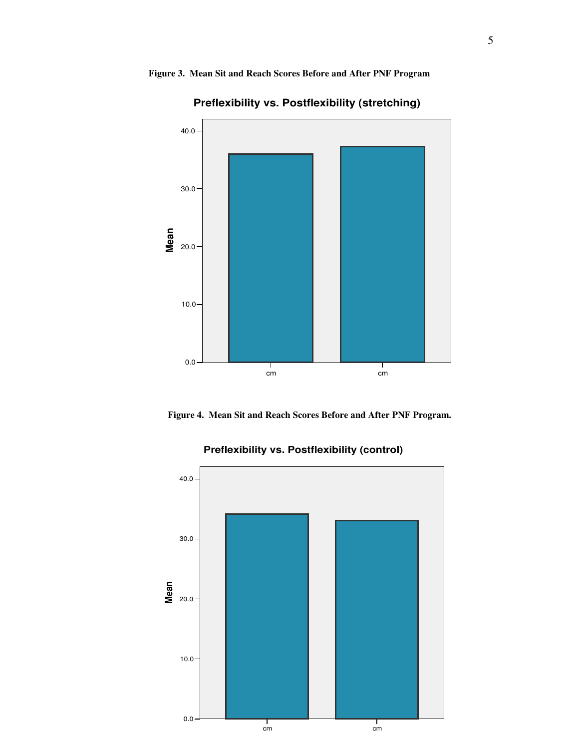## **Figure 3. Mean Sit and Reach Scores Before and After PNF Program**



**Preflexibility vs. Postflexibility (stretching)**



![](_page_4_Figure_4.jpeg)

# **Preflexibility vs. Postflexibility (control)**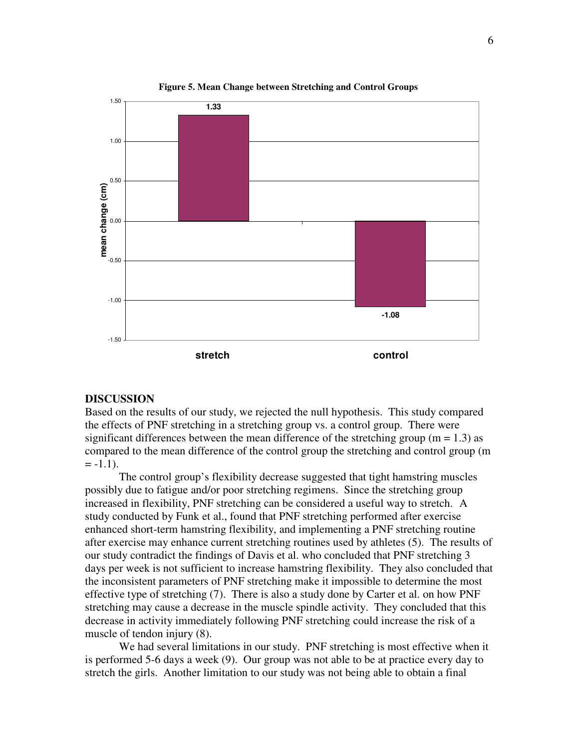![](_page_5_Figure_0.jpeg)

**Figure 5. Mean Change between Stretching and Control Groups**

### **DISCUSSION**

Based on the results of our study, we rejected the null hypothesis. This study compared the effects of PNF stretching in a stretching group vs. a control group. There were significant differences between the mean difference of the stretching group ( $m = 1.3$ ) as compared to the mean difference of the control group the stretching and control group (m  $=-1.1$ ).

The control group's flexibility decrease suggested that tight hamstring muscles possibly due to fatigue and/or poor stretching regimens. Since the stretching group increased in flexibility, PNF stretching can be considered a useful way to stretch. A study conducted by Funk et al., found that PNF stretching performed after exercise enhanced short-term hamstring flexibility, and implementing a PNF stretching routine after exercise may enhance current stretching routines used by athletes (5). The results of our study contradict the findings of Davis et al. who concluded that PNF stretching 3 days per week is not sufficient to increase hamstring flexibility. They also concluded that the inconsistent parameters of PNF stretching make it impossible to determine the most effective type of stretching (7). There is also a study done by Carter et al. on how PNF stretching may cause a decrease in the muscle spindle activity. They concluded that this decrease in activity immediately following PNF stretching could increase the risk of a muscle of tendon injury (8).

We had several limitations in our study. PNF stretching is most effective when it is performed 5-6 days a week (9). Our group was not able to be at practice every day to stretch the girls. Another limitation to our study was not being able to obtain a final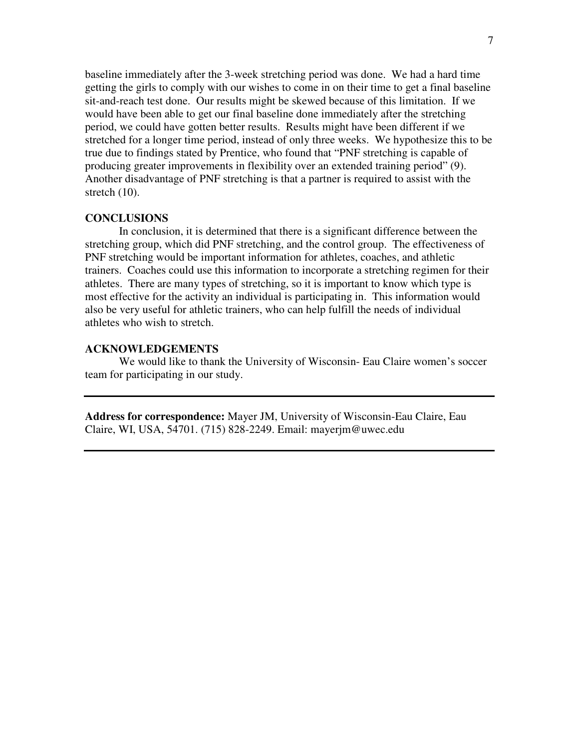baseline immediately after the 3-week stretching period was done. We had a hard time getting the girls to comply with our wishes to come in on their time to get a final baseline sit-and-reach test done. Our results might be skewed because of this limitation. If we would have been able to get our final baseline done immediately after the stretching period, we could have gotten better results. Results might have been different if we stretched for a longer time period, instead of only three weeks. We hypothesize this to be true due to findings stated by Prentice, who found that "PNF stretching is capable of producing greater improvements in flexibility over an extended training period" (9). Another disadvantage of PNF stretching is that a partner is required to assist with the stretch (10).

## **CONCLUSIONS**

In conclusion, it is determined that there is a significant difference between the stretching group, which did PNF stretching, and the control group. The effectiveness of PNF stretching would be important information for athletes, coaches, and athletic trainers. Coaches could use this information to incorporate a stretching regimen for their athletes. There are many types of stretching, so it is important to know which type is most effective for the activity an individual is participating in. This information would also be very useful for athletic trainers, who can help fulfill the needs of individual athletes who wish to stretch.

## **ACKNOWLEDGEMENTS**

We would like to thank the University of Wisconsin- Eau Claire women's soccer team for participating in our study.

**Address for correspondence:** Mayer JM, University of Wisconsin-Eau Claire, Eau Claire, WI, USA, 54701. (715) 828-2249. Email: mayerjm@uwec.edu